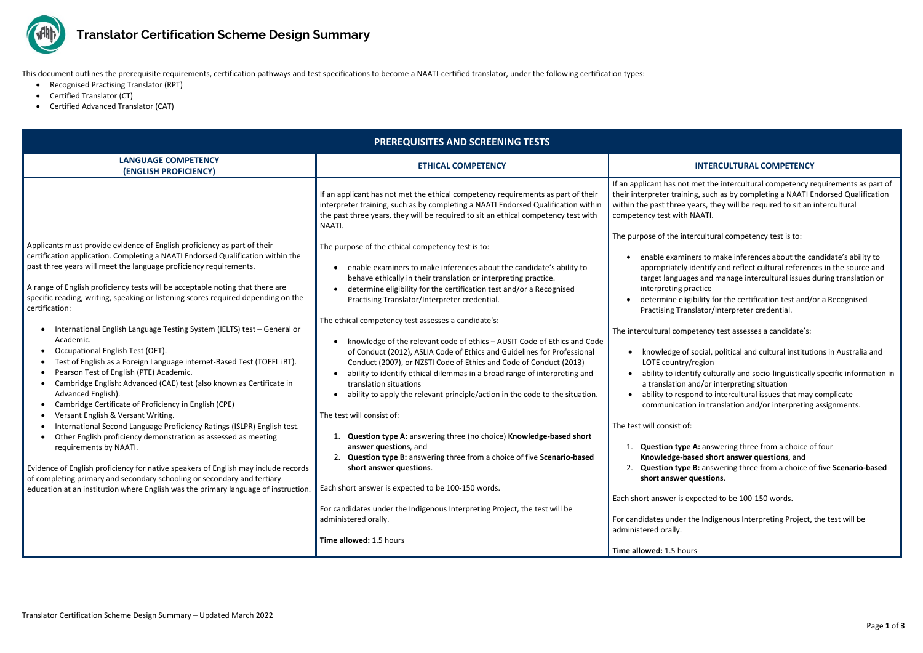

## **Translator Certification Scheme Design Summary**

et the intercultural competency requirements as part of such as by completing a NAATI Endorsed Qualification ars, they will be required to sit an intercultural AATI.

- s to make inferences about the candidate's ability to entify and reflect cultural references in the source and and manage intercultural issues during translation or tice
- ility for the certification test and/or a Recognised ator/Interpreter credential.

- ecial, political and cultural institutions in Australia and egion
- y culturally and socio-linguistically specific information in d/or interpreting situation
- ad to intercultural issues that may complicate
- in translation and/or interpreting assignments.

answering three from a choice of four

## **Red short answer questions**, and

This document outlines the prerequisite requirements, certification pathways and test specifications to become a NAATI-certified translator, under the following certification types:

- Recognised Practising Translator (RPT)
- Certified Translator (CT)
- Certified Advanced Translator (CAT)

2. **Question type B:** answering three from a choice of five **Scenario-based estions**.

Indigenous Interpreting Project, the test will be

| <b>PREREQUISITES AND SCREENING TESTS</b>                                                                                                                                                                                                                                                                                                                                                                                                                                                                                                                                                                                                                                                                                                                                                                                                                                                                                                                                                                                                                                                                                                                                                                                                                                                             |                                                                                                                                                                                                                                                                                                                                                                                                                                                                                                                                                                                                                                                                                                                                                                                                                                                                                                                                                                                                                                                                                                                                                                                                 |                                                                                                                                                                                                                                                                                                                                                                                                                                                                                                                                                                                                                                                                                                                                                                                                                                                                                                                                                                                                                                                                                         |
|------------------------------------------------------------------------------------------------------------------------------------------------------------------------------------------------------------------------------------------------------------------------------------------------------------------------------------------------------------------------------------------------------------------------------------------------------------------------------------------------------------------------------------------------------------------------------------------------------------------------------------------------------------------------------------------------------------------------------------------------------------------------------------------------------------------------------------------------------------------------------------------------------------------------------------------------------------------------------------------------------------------------------------------------------------------------------------------------------------------------------------------------------------------------------------------------------------------------------------------------------------------------------------------------------|-------------------------------------------------------------------------------------------------------------------------------------------------------------------------------------------------------------------------------------------------------------------------------------------------------------------------------------------------------------------------------------------------------------------------------------------------------------------------------------------------------------------------------------------------------------------------------------------------------------------------------------------------------------------------------------------------------------------------------------------------------------------------------------------------------------------------------------------------------------------------------------------------------------------------------------------------------------------------------------------------------------------------------------------------------------------------------------------------------------------------------------------------------------------------------------------------|-----------------------------------------------------------------------------------------------------------------------------------------------------------------------------------------------------------------------------------------------------------------------------------------------------------------------------------------------------------------------------------------------------------------------------------------------------------------------------------------------------------------------------------------------------------------------------------------------------------------------------------------------------------------------------------------------------------------------------------------------------------------------------------------------------------------------------------------------------------------------------------------------------------------------------------------------------------------------------------------------------------------------------------------------------------------------------------------|
| <b>LANGUAGE COMPETENCY</b><br>(ENGLISH PROFICIENCY)                                                                                                                                                                                                                                                                                                                                                                                                                                                                                                                                                                                                                                                                                                                                                                                                                                                                                                                                                                                                                                                                                                                                                                                                                                                  | <b>ETHICAL COMPETENCY</b>                                                                                                                                                                                                                                                                                                                                                                                                                                                                                                                                                                                                                                                                                                                                                                                                                                                                                                                                                                                                                                                                                                                                                                       | <b>INTERCULTURAL COMPETENCY</b>                                                                                                                                                                                                                                                                                                                                                                                                                                                                                                                                                                                                                                                                                                                                                                                                                                                                                                                                                                                                                                                         |
|                                                                                                                                                                                                                                                                                                                                                                                                                                                                                                                                                                                                                                                                                                                                                                                                                                                                                                                                                                                                                                                                                                                                                                                                                                                                                                      | If an applicant has not met the ethical competency requirements as part of their<br>interpreter training, such as by completing a NAATI Endorsed Qualification within<br>the past three years, they will be required to sit an ethical competency test with<br>NAATI.                                                                                                                                                                                                                                                                                                                                                                                                                                                                                                                                                                                                                                                                                                                                                                                                                                                                                                                           | If an applicant has not met the intercultural competency r<br>their interpreter training, such as by completing a NAATI E<br>within the past three years, they will be required to sit an<br>competency test with NAATI.                                                                                                                                                                                                                                                                                                                                                                                                                                                                                                                                                                                                                                                                                                                                                                                                                                                                |
| Applicants must provide evidence of English proficiency as part of their<br>certification application. Completing a NAATI Endorsed Qualification within the<br>past three years will meet the language proficiency requirements.<br>A range of English proficiency tests will be acceptable noting that there are<br>specific reading, writing, speaking or listening scores required depending on the<br>certification:<br>International English Language Testing System (IELTS) test - General or<br>Academic.<br>Occupational English Test (OET).<br>Test of English as a Foreign Language internet-Based Test (TOEFL iBT).<br>Pearson Test of English (PTE) Academic.<br>Cambridge English: Advanced (CAE) test (also known as Certificate in<br>Advanced English).<br>Cambridge Certificate of Proficiency in English (CPE)<br>Versant English & Versant Writing.<br>International Second Language Proficiency Ratings (ISLPR) English test.<br>Other English proficiency demonstration as assessed as meeting<br>requirements by NAATI.<br>Evidence of English proficiency for native speakers of English may include records<br>of completing primary and secondary schooling or secondary and tertiary<br>education at an institution where English was the primary language of instruction. | The purpose of the ethical competency test is to:<br>enable examiners to make inferences about the candidate's ability to<br>behave ethically in their translation or interpreting practice.<br>determine eligibility for the certification test and/or a Recognised<br>Practising Translator/Interpreter credential.<br>The ethical competency test assesses a candidate's:<br>knowledge of the relevant code of ethics - AUSIT Code of Ethics and Code<br>of Conduct (2012), ASLIA Code of Ethics and Guidelines for Professional<br>Conduct (2007), or NZSTI Code of Ethics and Code of Conduct (2013)<br>ability to identify ethical dilemmas in a broad range of interpreting and<br>translation situations<br>ability to apply the relevant principle/action in the code to the situation.<br>The test will consist of:<br>Question type A: answering three (no choice) Knowledge-based short<br>answer questions, and<br>2. Question type B: answering three from a choice of five Scenario-based<br>short answer questions.<br>Each short answer is expected to be 100-150 words.<br>For candidates under the Indigenous Interpreting Project, the test will be<br>administered orally. | The purpose of the intercultural competency test is to:<br>enable examiners to make inferences about the ca<br>appropriately identify and reflect cultural referend<br>target languages and manage intercultural issues<br>interpreting practice<br>determine eligibility for the certification test and/<br>Practising Translator/Interpreter credential.<br>The intercultural competency test assesses a candidate's:<br>knowledge of social, political and cultural instituti<br>LOTE country/region<br>ability to identify culturally and socio-linguistically<br>a translation and/or interpreting situation<br>ability to respond to intercultural issues that may<br>communication in translation and/or interpreting<br>The test will consist of:<br>Question type A: answering three from a choice of<br>Knowledge-based short answer questions, and<br>Question type B: answering three from a choice o<br>short answer questions.<br>Each short answer is expected to be 100-150 words.<br>For candidates under the Indigenous Interpreting Project,<br>administered orally. |
|                                                                                                                                                                                                                                                                                                                                                                                                                                                                                                                                                                                                                                                                                                                                                                                                                                                                                                                                                                                                                                                                                                                                                                                                                                                                                                      | Time allowed: 1.5 hours                                                                                                                                                                                                                                                                                                                                                                                                                                                                                                                                                                                                                                                                                                                                                                                                                                                                                                                                                                                                                                                                                                                                                                         | Time allowed: 1.5 hours                                                                                                                                                                                                                                                                                                                                                                                                                                                                                                                                                                                                                                                                                                                                                                                                                                                                                                                                                                                                                                                                 |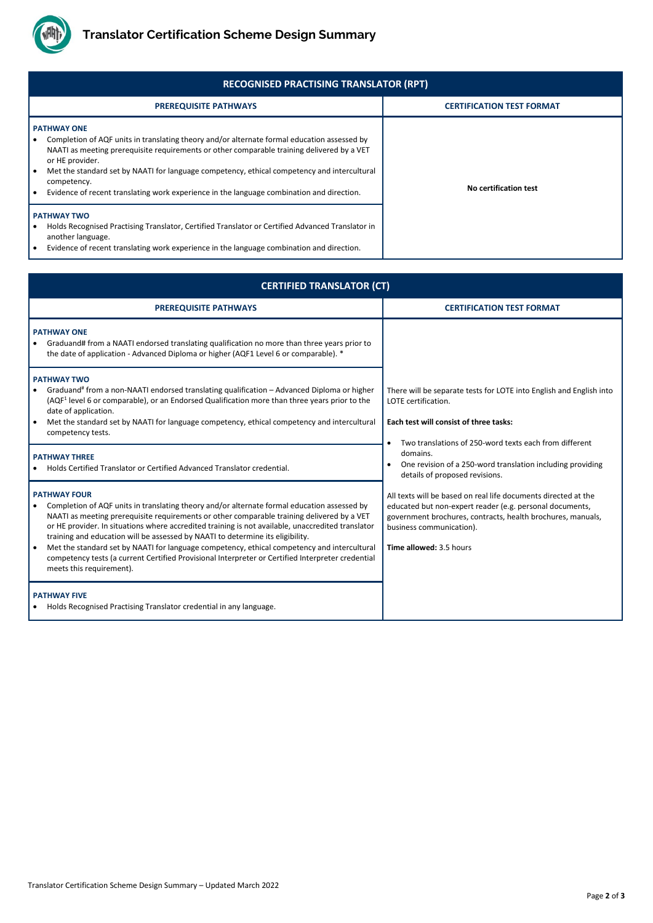

Translator Certification Scheme Design Summary – Updated March 2022

| <b>RECOGNISED PRACTISING TRANSLATOR (RPT)</b>                                                                                                                                                                                                                                                                                                                                                                                                 |                                  |  |
|-----------------------------------------------------------------------------------------------------------------------------------------------------------------------------------------------------------------------------------------------------------------------------------------------------------------------------------------------------------------------------------------------------------------------------------------------|----------------------------------|--|
| <b>PREREQUISITE PATHWAYS</b>                                                                                                                                                                                                                                                                                                                                                                                                                  | <b>CERTIFICATION TEST FORMAT</b> |  |
| <b>PATHWAY ONE</b><br>Completion of AQF units in translating theory and/or alternate formal education assessed by<br>NAATI as meeting prerequisite requirements or other comparable training delivered by a VET<br>or HE provider.<br>Met the standard set by NAATI for language competency, ethical competency and intercultural<br>competency.<br>Evidence of recent translating work experience in the language combination and direction. | No certification test            |  |
| <b>PATHWAY TWO</b><br>Holds Recognised Practising Translator, Certified Translator or Certified Advanced Translator in<br>another language.<br>Evidence of recent translating work experience in the language combination and direction.                                                                                                                                                                                                      |                                  |  |

| <b>CERTIFIED TRANSLATOR (CT)</b>                                                                                                                                                                                                                                                                                                                                                                                                                                                                                                                                                                                                        |                                                                                                                                                                                                                                                                                                                                                                                                                                                                                                                                                                |  |
|-----------------------------------------------------------------------------------------------------------------------------------------------------------------------------------------------------------------------------------------------------------------------------------------------------------------------------------------------------------------------------------------------------------------------------------------------------------------------------------------------------------------------------------------------------------------------------------------------------------------------------------------|----------------------------------------------------------------------------------------------------------------------------------------------------------------------------------------------------------------------------------------------------------------------------------------------------------------------------------------------------------------------------------------------------------------------------------------------------------------------------------------------------------------------------------------------------------------|--|
| <b>PREREQUISITE PATHWAYS</b>                                                                                                                                                                                                                                                                                                                                                                                                                                                                                                                                                                                                            | <b>CERTIFICATION TEST FORMAT</b>                                                                                                                                                                                                                                                                                                                                                                                                                                                                                                                               |  |
| <b>PATHWAY ONE</b><br>Graduand# from a NAATI endorsed translating qualification no more than three years prior to<br>the date of application - Advanced Diploma or higher (AQF1 Level 6 or comparable). *                                                                                                                                                                                                                                                                                                                                                                                                                               |                                                                                                                                                                                                                                                                                                                                                                                                                                                                                                                                                                |  |
| <b>PATHWAY TWO</b><br>Graduand <sup>#</sup> from a non-NAATI endorsed translating qualification - Advanced Diploma or higher<br>(AQF <sup>1</sup> level 6 or comparable), or an Endorsed Qualification more than three years prior to the<br>date of application.<br>Met the standard set by NAATI for language competency, ethical competency and intercultural<br>competency tests.                                                                                                                                                                                                                                                   | There will be separate tests for LOTE into English and English into<br>LOTE certification.<br>Each test will consist of three tasks:<br>Two translations of 250-word texts each from different<br>domains.<br>One revision of a 250-word translation including providing<br>details of proposed revisions.<br>All texts will be based on real life documents directed at the<br>educated but non-expert reader (e.g. personal documents,<br>government brochures, contracts, health brochures, manuals,<br>business communication).<br>Time allowed: 3.5 hours |  |
| <b>PATHWAY THREE</b><br>Holds Certified Translator or Certified Advanced Translator credential.                                                                                                                                                                                                                                                                                                                                                                                                                                                                                                                                         |                                                                                                                                                                                                                                                                                                                                                                                                                                                                                                                                                                |  |
| <b>PATHWAY FOUR</b><br>Completion of AQF units in translating theory and/or alternate formal education assessed by<br>NAATI as meeting prerequisite requirements or other comparable training delivered by a VET<br>or HE provider. In situations where accredited training is not available, unaccredited translator<br>training and education will be assessed by NAATI to determine its eligibility.<br>Met the standard set by NAATI for language competency, ethical competency and intercultural<br>competency tests (a current Certified Provisional Interpreter or Certified Interpreter credential<br>meets this requirement). |                                                                                                                                                                                                                                                                                                                                                                                                                                                                                                                                                                |  |
| <b>PATHWAY FIVE</b><br>Holds Recognised Practising Translator credential in any language.                                                                                                                                                                                                                                                                                                                                                                                                                                                                                                                                               |                                                                                                                                                                                                                                                                                                                                                                                                                                                                                                                                                                |  |